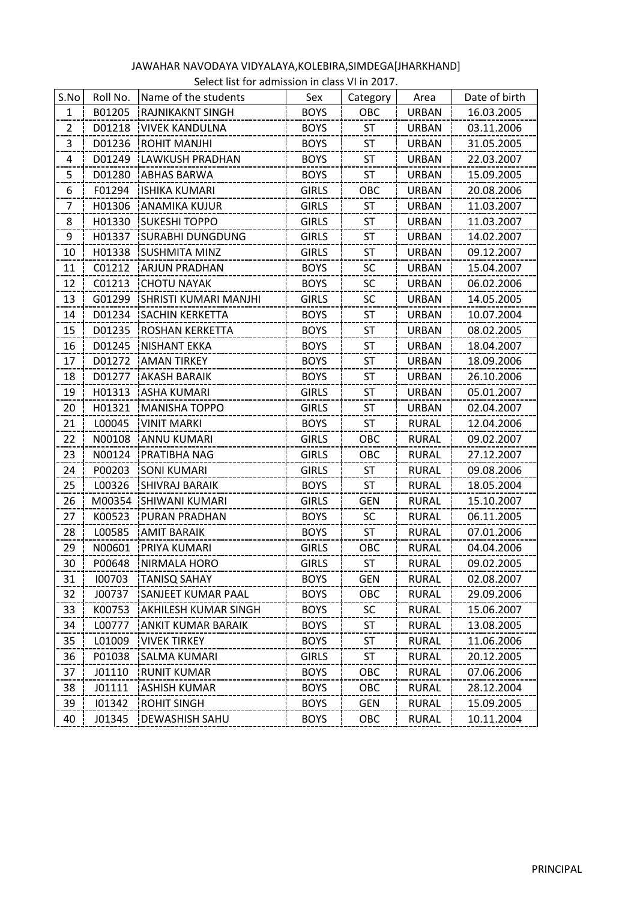| S.No           | Roll No. | Name of the students         | Sex          | Category   | Area         | Date of birth |
|----------------|----------|------------------------------|--------------|------------|--------------|---------------|
| 1              | B01205   | <b>RAJNIKAKNT SINGH</b>      | <b>BOYS</b>  | OBC        | <b>URBAN</b> | 16.03.2005    |
| $\overline{2}$ | D01218   | <b>VIVEK KANDULNA</b>        | <b>BOYS</b>  | <b>ST</b>  | <b>URBAN</b> | 03.11.2006    |
| 3              | D01236   | <b>ROHIT MANJHI</b>          | <b>BOYS</b>  | ST         | <b>URBAN</b> | 31.05.2005    |
| 4              | D01249   | <b>LAWKUSH PRADHAN</b>       | <b>BOYS</b>  | <b>ST</b>  | <b>URBAN</b> | 22.03.2007    |
| 5              | D01280   | <b>ABHAS BARWA</b>           | <b>BOYS</b>  | <b>ST</b>  | <b>URBAN</b> | 15.09.2005    |
| 6              | F01294   | <b>ISHIKA KUMARI</b>         | <b>GIRLS</b> | OBC        | <b>URBAN</b> | 20.08.2006    |
| 7              | H01306   | <b>ANAMIKA KUJUR</b>         | <b>GIRLS</b> | <b>ST</b>  | <b>URBAN</b> | 11.03.2007    |
| 8              | H01330   | <b>SUKESHI TOPPO</b>         | <b>GIRLS</b> | <b>ST</b>  | <b>URBAN</b> | 11.03.2007    |
| 9              | H01337   | <b>SURABHI DUNGDUNG</b>      | <b>GIRLS</b> | <b>ST</b>  | <b>URBAN</b> | 14.02.2007    |
| 10             | H01338   | <b>ISUSHMITA MINZ</b>        | <b>GIRLS</b> | <b>ST</b>  | <b>URBAN</b> | 09.12.2007    |
| 11             | C01212   | <b>ARJUN PRADHAN</b>         | <b>BOYS</b>  | SC         | <b>URBAN</b> | 15.04.2007    |
| 12             | C01213   | <b>CHOTU NAYAK</b>           | <b>BOYS</b>  | SC         | <b>URBAN</b> | 06.02.2006    |
| 13             | G01299   | SHRISTI KUMARI MANJHI        | <b>GIRLS</b> | <b>SC</b>  | <b>URBAN</b> | 14.05.2005    |
| 14             | D01234   | <b>SACHIN KERKETTA</b>       | <b>BOYS</b>  | <b>ST</b>  | <b>URBAN</b> | 10.07.2004    |
| 15             | D01235   | ROSHAN KERKETTA              | <b>BOYS</b>  | ST         | <b>URBAN</b> | 08.02.2005    |
| 16             | D01245   | <b>NISHANT EKKA</b>          | <b>BOYS</b>  | <b>ST</b>  | <b>URBAN</b> | 18.04.2007    |
| 17             | D01272   | <b>AMAN TIRKEY</b>           | <b>BOYS</b>  | <b>ST</b>  | <b>URBAN</b> | 18.09.2006    |
| 18             | D01277   | AKASH BARAIK                 | <b>BOYS</b>  | <b>ST</b>  | <b>URBAN</b> | 26.10.2006    |
| 19             | H01313   | <b>IASHA KUMARI</b>          | <b>GIRLS</b> | <b>ST</b>  | <b>URBAN</b> | 05.01.2007    |
| 20             | H01321   | <b>MANISHA TOPPO</b>         | <b>GIRLS</b> | ST         | <b>URBAN</b> | 02.04.2007    |
| 21             | L00045   | <b>VINIT MARKI</b>           | <b>BOYS</b>  | <b>ST</b>  | <b>RURAL</b> | 12.04.2006    |
| 22             | N00108   | ANNU KUMARI                  | <b>GIRLS</b> | OBC        | RURAL        | 09.02.2007    |
| 23             | N00124   | PRATIBHA NAG                 | <b>GIRLS</b> | OBC        | <b>RURAL</b> | 27.12.2007    |
| 24             | P00203   | <b>SONI KUMARI</b>           | <b>GIRLS</b> | <b>ST</b>  | <b>RURAL</b> | 09.08.2006    |
| 25             | L00326   | <b>SHIVRAJ BARAIK</b>        | <b>BOYS</b>  | <b>ST</b>  | RURAL        | 18.05.2004    |
| 26             |          | M00354 SHIWANI KUMARI        | <b>GIRLS</b> | <b>GEN</b> | <b>RURAL</b> | 15.10.2007    |
| 27             | K00523   | PURAN PRADHAN                | <b>BOYS</b>  | <b>SC</b>  | <b>RURAL</b> | 06.11.2005    |
| 28             | L00585   | <b>AMIT BARAIK</b>           | <b>BOYS</b>  | <b>ST</b>  | <b>RURAL</b> | 07.01.2006    |
| 29             | N00601   | <b>PRIYA KUMARI</b>          | <b>GIRLS</b> | OBC        | RURAL        | 04.04.2006    |
| 30.            | P00648   | INIRMALA HORO                | GIRLS        | ST         | RURAL        | 09.02.2005    |
| 31             | 100703   | <b>TANISQ SAHAY</b>          | <b>BOYS</b>  | GEN        | <b>RURAL</b> | 02.08.2007    |
| 32             | J00737   | <b>ISANJEET KUMAR PAAL</b>   | <b>BOYS</b>  | OBC        | <b>RURAL</b> | 29.09.2006    |
| 33             | K00753   | <b>JAKHILESH KUMAR SINGH</b> | <b>BOYS</b>  | <b>SC</b>  | <b>RURAL</b> | 15.06.2007    |
| 34             | L00777   | IANKIT KUMAR BARAIK          | <b>BOYS</b>  | ST         | <b>RURAL</b> | 13.08.2005    |
| 35             | L01009   | <b>VIVEK TIRKEY</b>          | <b>BOYS</b>  | <b>ST</b>  | <b>RURAL</b> | 11.06.2006    |
| 36             | P01038   | ISALMA KUMARI                | <b>GIRLS</b> | ST         | <b>RURAL</b> | 20.12.2005    |
| 37             | J01110   | IRUNIT KUMAR                 | <b>BOYS</b>  | OBC        | RURAL        | 07.06.2006    |
| 38             | J01111   | ASHISH KUMAR                 | <b>BOYS</b>  | OBC        | RURAL        | 28.12.2004    |
| 39             | 101342   | IROHIT SINGH                 | <b>BOYS</b>  | <b>GEN</b> | <b>RURAL</b> | 15.09.2005    |
| 40             | J01345   | IDEWASHISH SAHU              | <b>BOYS</b>  | OBC        | <b>RURAL</b> | 10.11.2004    |

## JAWAHAR NAVODAYA VIDYALAYA,KOLEBIRA,SIMDEGA[JHARKHAND] Select list for admission in class VI in 2017.